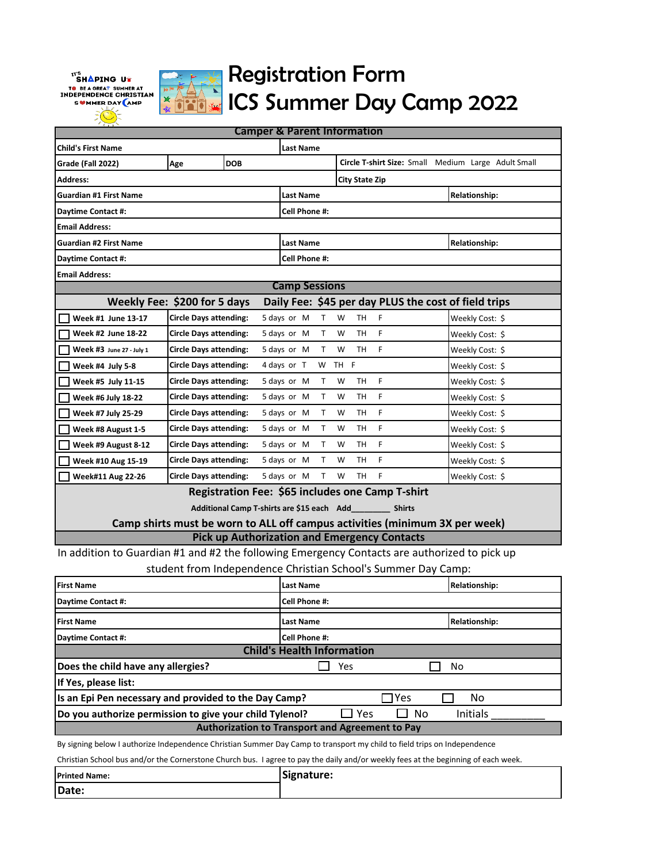$\boldsymbol{r}^{\mathrm{ref}}$ Shaping ut TO BE A GREAT SUMMER AT<br>INDEPENDENCE CHRISTIAN SWMMER DAY AMP



## Registration Form ICS Summer Day Camp 2022

| <b>Camper &amp; Parent Information</b>                                                       |                               |            |                                            |                                                                             |                      |  |
|----------------------------------------------------------------------------------------------|-------------------------------|------------|--------------------------------------------|-----------------------------------------------------------------------------|----------------------|--|
| <b>Child's First Name</b><br>Last Name                                                       |                               |            |                                            |                                                                             |                      |  |
| Grade (Fall 2022)                                                                            | Age                           | <b>DOB</b> |                                            | Circle T-shirt Size: Small Medium Large Adult Small                         |                      |  |
| <b>Address:</b><br>City State Zip                                                            |                               |            |                                            |                                                                             |                      |  |
| <b>Guardian #1 First Name</b>                                                                |                               |            |                                            | <b>Last Name</b><br><b>Relationship:</b>                                    |                      |  |
| Daytime Contact #:                                                                           |                               |            | Cell Phone #:                              |                                                                             |                      |  |
| <b>Email Address:</b>                                                                        |                               |            |                                            |                                                                             |                      |  |
| <b>Guardian #2 First Name</b>                                                                |                               |            | Last Name                                  |                                                                             | <b>Relationship:</b> |  |
| Daytime Contact #:                                                                           | Cell Phone #:                 |            |                                            |                                                                             |                      |  |
| <b>Email Address:</b>                                                                        |                               |            |                                            |                                                                             |                      |  |
|                                                                                              |                               |            | <b>Camp Sessions</b>                       |                                                                             |                      |  |
| Weekly Fee: \$200 for 5 days                                                                 |                               |            |                                            | Daily Fee: \$45 per day PLUS the cost of field trips                        |                      |  |
| Week #1 June 13-17                                                                           | <b>Circle Days attending:</b> |            | 5 days or M<br>Τ                           | W<br>TH<br>F                                                                | Weekly Cost: \$      |  |
| Week #2 June 18-22                                                                           | <b>Circle Days attending:</b> |            | 5 days or M<br>Τ                           | <b>TH</b><br>F<br>W                                                         | Weekly Cost: \$      |  |
| Week #3 June 27 - July 1                                                                     | Circle Days attending:        |            | 5 days or M<br>T.                          | TH<br>F<br>W                                                                | Weekly Cost: \$      |  |
| Week #4 July 5-8                                                                             | <b>Circle Days attending:</b> |            | 4 days or T<br>W                           | TH F                                                                        | Weekly Cost: \$      |  |
| Week #5 July 11-15                                                                           | <b>Circle Days attending:</b> |            | 5 days or M<br>T                           | <b>TH</b><br>F<br>W                                                         | Weekly Cost: \$      |  |
| Week #6 July 18-22                                                                           | <b>Circle Days attending:</b> |            | 5 days or M<br>Τ                           | F<br>W<br>TН                                                                | Weekly Cost: \$      |  |
| Week #7 July 25-29                                                                           | <b>Circle Days attending:</b> |            | 5 days or M<br>$\mathsf{T}$                | F<br>W<br>TН                                                                | Weekly Cost: \$      |  |
| Week #8 August 1-5                                                                           | <b>Circle Days attending:</b> |            | 5 days or M<br>Τ                           | F<br>W<br>TН                                                                | Weekly Cost: \$      |  |
| Week #9 August 8-12                                                                          | <b>Circle Days attending:</b> |            | 5 days or M<br>T                           | F<br><b>TH</b><br>W                                                         | Weekly Cost: \$      |  |
| Week #10 Aug 15-19                                                                           | <b>Circle Days attending:</b> |            | 5 days or M<br>Τ                           | F<br>TН<br>w                                                                | Weekly Cost: \$      |  |
| Week#11 Aug 22-26                                                                            | <b>Circle Days attending:</b> |            | 5 days or M<br>T                           | F<br>W<br><b>TH</b>                                                         | Weekly Cost: \$      |  |
|                                                                                              |                               |            |                                            | Registration Fee: \$65 includes one Camp T-shirt                            |                      |  |
|                                                                                              |                               |            | Additional Camp T-shirts are \$15 each Add | <b>Shirts</b>                                                               |                      |  |
|                                                                                              |                               |            |                                            | Camp shirts must be worn to ALL off campus activities (minimum 3X per week) |                      |  |
|                                                                                              |                               |            |                                            | <b>Pick up Authorization and Emergency Contacts</b>                         |                      |  |
| In addition to Guardian #1 and #2 the following Emergency Contacts are authorized to pick up |                               |            |                                            |                                                                             |                      |  |
|                                                                                              |                               |            |                                            | student from Independence Christian School's Summer Day Camp:               |                      |  |
| <b>First Name</b>                                                                            |                               |            | <b>Last Name</b>                           |                                                                             | Relationship:        |  |
| Daytime Contact #:                                                                           |                               |            | Cell Phone #:                              |                                                                             |                      |  |
| <b>First Name</b>                                                                            |                               |            | <b>Last Name</b>                           |                                                                             | <b>Relationship:</b> |  |
| Cell Phone #:<br>Daytime Contact #:                                                          |                               |            |                                            |                                                                             |                      |  |
| <b>Child's Health Information</b>                                                            |                               |            |                                            |                                                                             |                      |  |
| Does the child have any allergies?<br>Yes<br>No                                              |                               |            |                                            |                                                                             |                      |  |
| If Yes, please list:                                                                         |                               |            |                                            |                                                                             |                      |  |
| ]Yes<br>Is an Epi Pen necessary and provided to the Day Camp?<br>No                          |                               |            |                                            |                                                                             |                      |  |
| Yes<br>Do you authorize permission to give your child Tylenol?<br>No<br>Initials             |                               |            |                                            |                                                                             |                      |  |
| Authorization to Transport and Agreement to Pay                                              |                               |            |                                            |                                                                             |                      |  |

By signing below I authorize Independence Christian Summer Day Camp to transport my child to field trips on Independence

Christian School bus and/or the Cornerstone Church bus. I agree to pay the daily and/or weekly fees at the beginning of each week.

| <b>Printed Name:</b> | 'Signature: |
|----------------------|-------------|
| Date:                |             |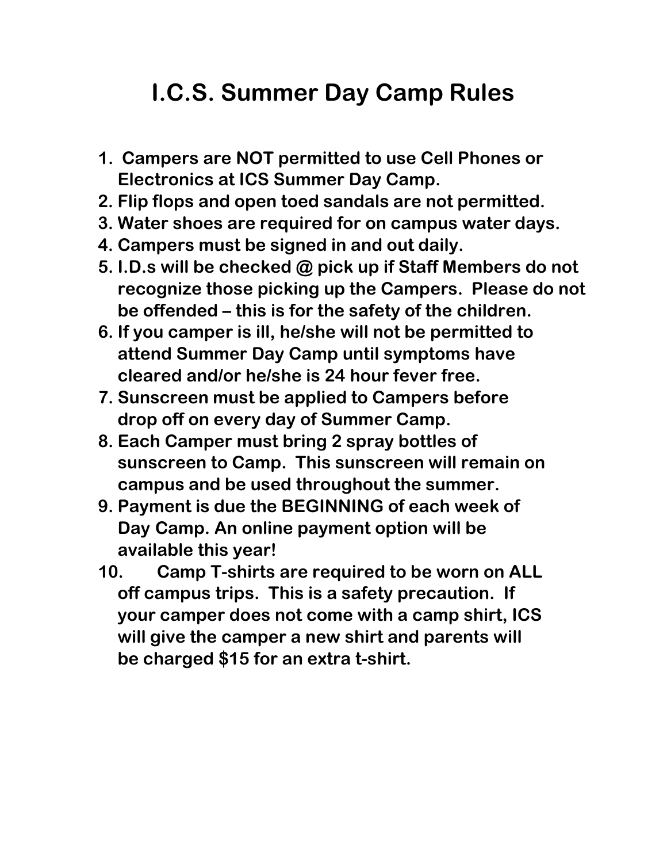# **I.C.S. Summer Day Camp Rules**

- **1. Campers are NOT permitted to use Cell Phones or Electronics at ICS Summer Day Camp.**
- **2. Flip flops and open toed sandals are not permitted.**
- **3. Water shoes are required for on campus water days.**
- **4. Campers must be signed in and out daily.**
- **5. I.D.s will be checked @ pick up if Staff Members do not recognize those picking up the Campers. Please do not be offended – this is for the safety of the children.**
- **6. If you camper is ill, he/she will not be permitted to attend Summer Day Camp until symptoms have cleared and/or he/she is 24 hour fever free.**
- **7. Sunscreen must be applied to Campers before drop off on every day of Summer Camp.**
- **8. Each Camper must bring 2 spray bottles of sunscreen to Camp. This sunscreen will remain on campus and be used throughout the summer.**
- **9. Payment is due the BEGINNING of each week of Day Camp. An online payment option will be available this year!**
- **10. Camp T-shirts are required to be worn on ALL off campus trips. This is a safety precaution. If your camper does not come with a camp shirt, ICS will give the camper a new shirt and parents will be charged \$15 for an extra t-shirt.**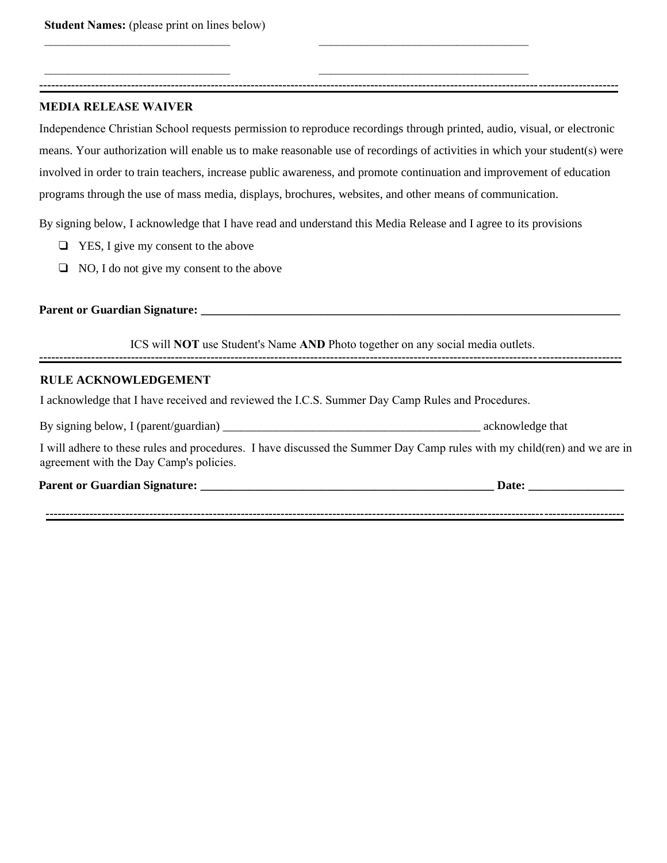#### **MEDIA RELEASE WAIVER**

Independence Christian School requests permission to reproduce recordings through printed, audio, visual, or electronic means. Your authorization will enable us to make reasonable use of recordings of activities in which your student(s) were involved in order to train teachers, increase public awareness, and promote continuation and improvement of education programs through the use of mass media, displays, brochures, websites, and other means of communication.

**-------------------------------------------------------------------------------------------------------------------------------------------------**

\_\_\_\_\_\_\_\_\_\_\_\_\_\_\_\_\_\_\_\_\_\_\_\_\_\_\_\_\_\_\_ \_\_\_\_\_\_\_\_\_\_\_\_\_\_\_\_\_\_\_\_\_\_\_\_\_\_\_\_\_\_\_\_\_\_\_

\_\_\_\_\_\_\_\_\_\_\_\_\_\_\_\_\_\_\_\_\_\_\_\_\_\_\_\_\_\_\_ \_\_\_\_\_\_\_\_\_\_\_\_\_\_\_\_\_\_\_\_\_\_\_\_\_\_\_\_\_\_\_\_\_\_\_

By signing below, I acknowledge that I have read and understand this Media Release and I agree to its provisions

- ❑ YES, I give my consent to the above
- ❑ NO, I do not give my consent to the above

#### **Parent or Guardian Signature: \_\_\_\_\_\_\_\_\_\_\_\_\_\_\_\_\_\_\_\_\_\_\_\_\_\_\_\_\_\_\_\_\_\_\_\_\_\_\_\_\_\_\_\_\_\_\_\_\_\_\_\_\_\_\_\_\_\_\_\_\_\_\_\_\_\_\_\_\_\_**

**--------------------------------------------------------------------------------------------------------------------------------------------------** ICS will **NOT** use Student's Name **AND** Photo together on any social media outlets.

#### **RULE ACKNOWLEDGEMENT**

I acknowledge that I have received and reviewed the I.C.S. Summer Day Camp Rules and Procedures.

By signing below, I (parent/guardian) \_\_\_\_\_\_\_\_\_\_\_\_\_\_\_\_\_\_\_\_\_\_\_\_\_\_\_\_\_\_\_\_\_\_\_\_\_\_\_\_\_\_\_ acknowledge that

I will adhere to these rules and procedures. I have discussed the Summer Day Camp rules with my child(ren) and we are in agreement with the Day Camp's policies.

#### **Parent or Guardian Signature: \_\_\_\_\_\_\_\_\_\_\_\_\_\_\_\_\_\_\_\_\_\_\_\_\_\_\_\_\_\_\_\_\_\_\_\_\_\_\_\_\_\_\_\_\_\_\_\_\_ Date: \_\_\_\_\_\_\_\_\_\_\_\_\_\_\_\_**

**-------------------------------------------------------------------------------------------------------------------------------------------------**